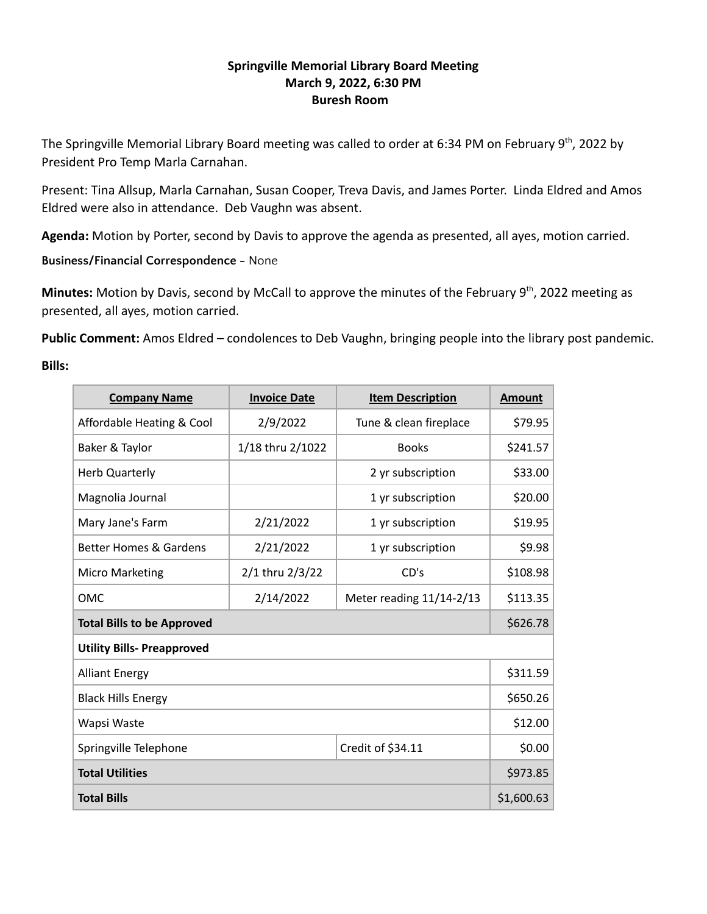# **Springville Memorial Library Board Meeting March 9, 2022, 6:30 PM Buresh Room**

The Springville Memorial Library Board meeting was called to order at 6:34 PM on February 9<sup>th</sup>, 2022 by President Pro Temp Marla Carnahan.

Present: Tina Allsup, Marla Carnahan, Susan Cooper, Treva Davis, and James Porter. Linda Eldred and Amos Eldred were also in attendance. Deb Vaughn was absent.

**Agenda:** Motion by Porter, second by Davis to approve the agenda as presented, all ayes, motion carried.

**Business/Financial Correspondence -** None

Minutes: Motion by Davis, second by McCall to approve the minutes of the February 9<sup>th</sup>, 2022 meeting as presented, all ayes, motion carried.

**Public Comment:** Amos Eldred – condolences to Deb Vaughn, bringing people into the library post pandemic.

## **Bills:**

| <b>Company Name</b>               | <b>Invoice Date</b> | <b>Item Description</b>  | <b>Amount</b> |  |
|-----------------------------------|---------------------|--------------------------|---------------|--|
| Affordable Heating & Cool         | 2/9/2022            | Tune & clean fireplace   | \$79.95       |  |
| Baker & Taylor                    | 1/18 thru 2/1022    | <b>Books</b>             | \$241.57      |  |
| <b>Herb Quarterly</b>             | 2 yr subscription   |                          | \$33.00       |  |
| Magnolia Journal                  |                     | 1 yr subscription        | \$20.00       |  |
| Mary Jane's Farm                  | 2/21/2022           | 1 yr subscription        | \$19.95       |  |
| <b>Better Homes &amp; Gardens</b> | 2/21/2022           | 1 yr subscription        | \$9.98        |  |
| <b>Micro Marketing</b>            | 2/1 thru 2/3/22     | CD's                     | \$108.98      |  |
| <b>OMC</b>                        | 2/14/2022           | Meter reading 11/14-2/13 | \$113.35      |  |
| <b>Total Bills to be Approved</b> |                     |                          |               |  |
| <b>Utility Bills- Preapproved</b> |                     |                          |               |  |
| <b>Alliant Energy</b>             |                     |                          |               |  |
| <b>Black Hills Energy</b>         |                     |                          |               |  |
| Wapsi Waste                       |                     |                          |               |  |
| Springville Telephone             |                     | Credit of \$34.11        | \$0.00        |  |
| <b>Total Utilities</b>            |                     |                          |               |  |
| <b>Total Bills</b>                |                     |                          | \$1,600.63    |  |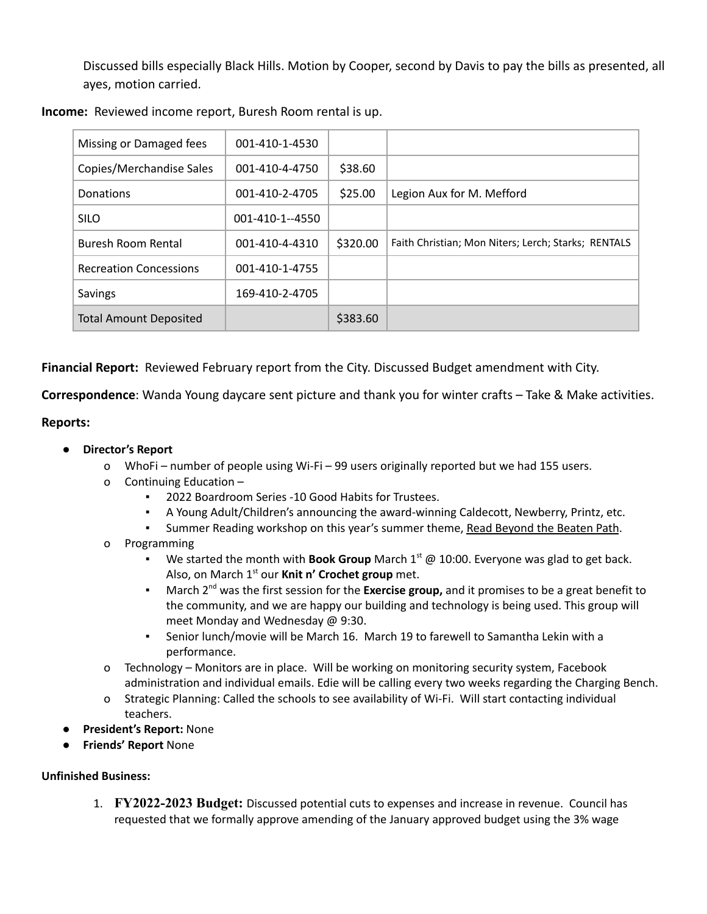Discussed bills especially Black Hills. Motion by Cooper, second by Davis to pay the bills as presented, all ayes, motion carried.

| Missing or Damaged fees       | 001-410-1-4530  |          |                                                     |
|-------------------------------|-----------------|----------|-----------------------------------------------------|
| Copies/Merchandise Sales      | 001-410-4-4750  | \$38.60  |                                                     |
| Donations                     | 001-410-2-4705  | \$25.00  | Legion Aux for M. Mefford                           |
| <b>SILO</b>                   | 001-410-1--4550 |          |                                                     |
| Buresh Room Rental            | 001-410-4-4310  | \$320.00 | Faith Christian; Mon Niters; Lerch; Starks; RENTALS |
| <b>Recreation Concessions</b> | 001-410-1-4755  |          |                                                     |
| Savings                       | 169-410-2-4705  |          |                                                     |
| <b>Total Amount Deposited</b> |                 | \$383.60 |                                                     |

**Income:** Reviewed income report, Buresh Room rental is up.

**Financial Report:** Reviewed February report from the City. Discussed Budget amendment with City.

**Correspondence**: Wanda Young daycare sent picture and thank you for winter crafts – Take & Make activities.

## **Reports:**

- **● Director's Report**
	- o WhoFi number of people using Wi-Fi 99 users originally reported but we had 155 users.
	- o Continuing Education
		- 2022 Boardroom Series -10 Good Habits for Trustees.
		- A Young Adult/Children's announcing the award-winning Caldecott, Newberry, Printz, etc.
		- Summer Reading workshop on this year's summer theme, Read Beyond the Beaten Path.
	- o Programming
		- We started the month with **Book Group** March 1<sup>st</sup> @ 10:00. Everyone was glad to get back. Also, on March 1<sup>st</sup> our Knit n' Crochet group met.
		- **EXED March 2<sup>nd</sup> was the first session for the <b>Exercise group,** and it promises to be a great benefit to the community, and we are happy our building and technology is being used. This group will meet Monday and Wednesday @ 9:30.
		- Senior lunch/movie will be March 16. March 19 to farewell to Samantha Lekin with a performance.
	- o Technology Monitors are in place. Will be working on monitoring security system, Facebook administration and individual emails. Edie will be calling every two weeks regarding the Charging Bench.
	- o Strategic Planning: Called the schools to see availability of Wi-Fi. Will start contacting individual teachers.
- **President's Report:** None
- **Friends' Report** None

## **Unfinished Business:**

1. **FY2022-2023 Budget:** Discussed potential cuts to expenses and increase in revenue. Council has requested that we formally approve amending of the January approved budget using the 3% wage